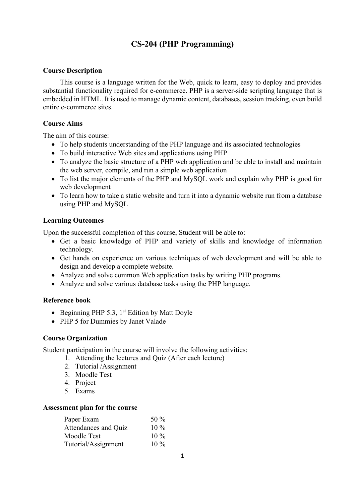## **CS-204 (PHP Programming)**

#### **Course Description**

This course is a language written for the Web, quick to learn, easy to deploy and provides substantial functionality required for e-commerce. PHP is a server-side scripting language that is embedded in HTML. It is used to manage dynamic content, databases, session tracking, even build entire e-commerce sites.

#### **Course Aims**

The aim of this course:

- To help students understanding of the PHP language and its associated technologies
- To build interactive Web sites and applications using PHP
- To analyze the basic structure of a PHP web application and be able to install and maintain the web server, compile, and run a simple web application
- To list the major elements of the PHP and MySQL work and explain why PHP is good for web development
- To learn how to take a static website and turn it into a dynamic website run from a database using PHP and MySQL

#### **Learning Outcomes**

Upon the successful completion of this course, Student will be able to:

- Get a basic knowledge of PHP and variety of skills and knowledge of information technology.
- Get hands on experience on various techniques of web development and will be able to design and develop a complete website.
- Analyze and solve common Web application tasks by writing PHP programs.
- Analyze and solve various database tasks using the PHP language.

#### **Reference book**

- Beginning PHP 5.3, 1<sup>st</sup> Edition by Matt Doyle
- PHP 5 for Dummies by Janet Valade

#### **Course Organization**

Student participation in the course will involve the following activities:

- 1. Attending the lectures and Quiz (After each lecture)
- 2. Tutorial /Assignment
- 3. Moodle Test
- 4. Project
- 5. Exams

#### **Assessment plan for the course**

| Paper Exam           | 50 $\%$ |
|----------------------|---------|
| Attendances and Quiz | $10\%$  |
| Moodle Test          | $10\%$  |
| Tutorial/Assignment  | $10\%$  |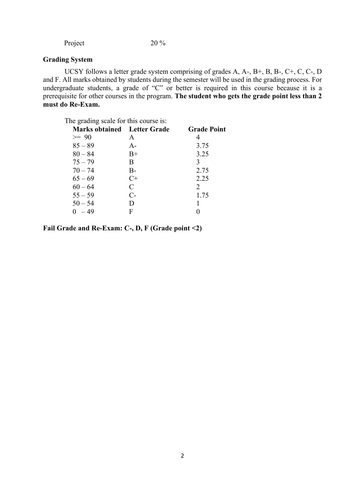Project 20 %

### **Grading System**

UCSY follows a letter grade system comprising of grades A, A-, B+, B, B-, C+, C, C-, D and F. All marks obtained by students during the semester will be used in the grading process. For undergraduate students, a grade of "C" or better is required in this course because it is a prerequisite for other courses in the program. **The student who gets the grade point less than 2 must do Re-Exam.**

The grading scale for this course is:

| <b>Marks obtained</b> Letter Grade |       | <b>Grade Point</b> |
|------------------------------------|-------|--------------------|
| $>= 90$                            | A     | 4                  |
| $85 - 89$                          | $A -$ | 3.75               |
| $80 - 84$                          | $B+$  | 3.25               |
| $75 - 79$                          | B.    | 3                  |
| $70 - 74$                          | B-    | 2.75               |
| $65 - 69$                          | $C+$  | 2.25               |
| $60 - 64$                          | C     | 2                  |
| $55 - 59$                          | $C-$  | 1.75               |
| $50 - 54$                          | D     |                    |
| $0 - 49$                           | F     |                    |

**Fail Grade and Re-Exam: C-, D, F (Grade point <2)**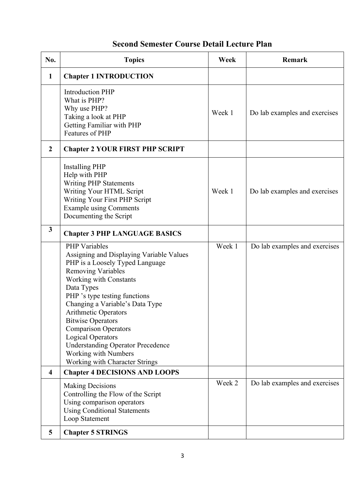# **Second Semester Course Detail Lecture Plan**

| No.                     | <b>Topics</b>                                                                                                                                                                                                                                                                                                                                                                                                                                                                   | Week   | <b>Remark</b>                 |
|-------------------------|---------------------------------------------------------------------------------------------------------------------------------------------------------------------------------------------------------------------------------------------------------------------------------------------------------------------------------------------------------------------------------------------------------------------------------------------------------------------------------|--------|-------------------------------|
| $\mathbf{1}$            | <b>Chapter 1 INTRODUCTION</b>                                                                                                                                                                                                                                                                                                                                                                                                                                                   |        |                               |
|                         | <b>Introduction PHP</b><br>What is PHP?<br>Why use PHP?<br>Taking a look at PHP<br>Getting Familiar with PHP<br>Features of PHP                                                                                                                                                                                                                                                                                                                                                 | Week 1 | Do lab examples and exercises |
| $\overline{2}$          | <b>Chapter 2 YOUR FIRST PHP SCRIPT</b>                                                                                                                                                                                                                                                                                                                                                                                                                                          |        |                               |
|                         | <b>Installing PHP</b><br>Help with PHP<br><b>Writing PHP Statements</b><br>Writing Your HTML Script<br>Writing Your First PHP Script<br><b>Example using Comments</b><br>Documenting the Script                                                                                                                                                                                                                                                                                 | Week 1 | Do lab examples and exercises |
| $\mathbf{3}$            | <b>Chapter 3 PHP LANGUAGE BASICS</b>                                                                                                                                                                                                                                                                                                                                                                                                                                            |        |                               |
|                         | <b>PHP</b> Variables<br>Assigning and Displaying Variable Values<br>PHP is a Loosely Typed Language<br><b>Removing Variables</b><br>Working with Constants<br>Data Types<br>PHP 's type testing functions<br>Changing a Variable's Data Type<br><b>Arithmetic Operators</b><br><b>Bitwise Operators</b><br><b>Comparison Operators</b><br><b>Logical Operators</b><br><b>Understanding Operator Precedence</b><br><b>Working with Numbers</b><br>Working with Character Strings | Week 1 | Do lab examples and exercises |
| $\overline{\mathbf{4}}$ | <b>Chapter 4 DECISIONS AND LOOPS</b>                                                                                                                                                                                                                                                                                                                                                                                                                                            | Week 2 | Do lab examples and exercises |
|                         | <b>Making Decisions</b><br>Controlling the Flow of the Script<br>Using comparison operators<br><b>Using Conditional Statements</b><br>Loop Statement                                                                                                                                                                                                                                                                                                                            |        |                               |
| 5                       | <b>Chapter 5 STRINGS</b>                                                                                                                                                                                                                                                                                                                                                                                                                                                        |        |                               |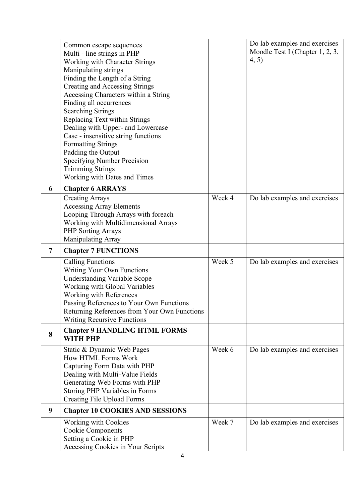|   | Common escape sequences<br>Multi - line strings in PHP<br>Working with Character Strings<br><b>Manipulating strings</b><br>Finding the Length of a String<br><b>Creating and Accessing Strings</b><br>Accessing Characters within a String<br>Finding all occurrences<br><b>Searching Strings</b><br>Replacing Text within Strings<br>Dealing with Upper- and Lowercase<br>Case - insensitive string functions<br><b>Formatting Strings</b><br>Padding the Output<br><b>Specifying Number Precision</b><br><b>Trimming Strings</b><br>Working with Dates and Times |        | Do lab examples and exercises<br>Moodle Test I (Chapter 1, 2, 3,<br>(4, 5) |
|---|--------------------------------------------------------------------------------------------------------------------------------------------------------------------------------------------------------------------------------------------------------------------------------------------------------------------------------------------------------------------------------------------------------------------------------------------------------------------------------------------------------------------------------------------------------------------|--------|----------------------------------------------------------------------------|
| 6 | <b>Chapter 6 ARRAYS</b>                                                                                                                                                                                                                                                                                                                                                                                                                                                                                                                                            |        |                                                                            |
|   | <b>Creating Arrays</b><br><b>Accessing Array Elements</b><br>Looping Through Arrays with foreach<br>Working with Multidimensional Arrays<br><b>PHP Sorting Arrays</b><br><b>Manipulating Array</b>                                                                                                                                                                                                                                                                                                                                                                 | Week 4 | Do lab examples and exercises                                              |
| 7 | <b>Chapter 7 FUNCTIONS</b>                                                                                                                                                                                                                                                                                                                                                                                                                                                                                                                                         |        |                                                                            |
|   | <b>Calling Functions</b><br><b>Writing Your Own Functions</b><br><b>Understanding Variable Scope</b><br>Working with Global Variables<br>Working with References<br>Passing References to Your Own Functions<br>Returning References from Your Own Functions<br><b>Writing Recursive Functions</b>                                                                                                                                                                                                                                                                 | Week 5 | Do lab examples and exercises                                              |
| 8 | <b>Chapter 9 HANDLING HTML FORMS</b><br><b>WITH PHP</b>                                                                                                                                                                                                                                                                                                                                                                                                                                                                                                            |        |                                                                            |
|   | Static & Dynamic Web Pages<br>How HTML Forms Work<br>Capturing Form Data with PHP<br>Dealing with Multi-Value Fields<br>Generating Web Forms with PHP<br>Storing PHP Variables in Forms<br><b>Creating File Upload Forms</b>                                                                                                                                                                                                                                                                                                                                       | Week 6 | Do lab examples and exercises                                              |
| 9 | <b>Chapter 10 COOKIES AND SESSIONS</b>                                                                                                                                                                                                                                                                                                                                                                                                                                                                                                                             |        |                                                                            |
|   | Working with Cookies<br>Cookie Components<br>Setting a Cookie in PHP                                                                                                                                                                                                                                                                                                                                                                                                                                                                                               | Week 7 | Do lab examples and exercises                                              |